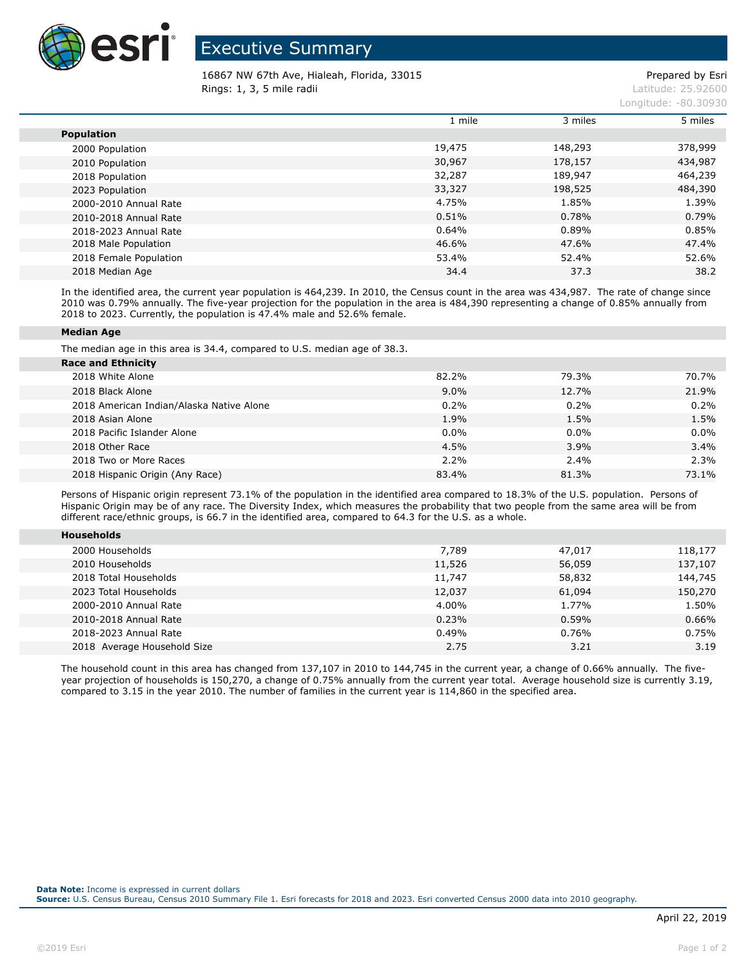

## Executive Summary

16867 NW 67th Ave, Hialeah, Florida, 33015 Prepared by Esri **Rings: 1, 3, 5 mile radii** Latitude: 25.92600

| Longitude: -80.30930 |
|----------------------|
|                      |

|                        | 1 mile | 3 miles | 5 miles |
|------------------------|--------|---------|---------|
| <b>Population</b>      |        |         |         |
| 2000 Population        | 19,475 | 148,293 | 378,999 |
| 2010 Population        | 30,967 | 178,157 | 434,987 |
| 2018 Population        | 32,287 | 189,947 | 464,239 |
| 2023 Population        | 33,327 | 198,525 | 484,390 |
| 2000-2010 Annual Rate  | 4.75%  | 1.85%   | 1.39%   |
| 2010-2018 Annual Rate  | 0.51%  | 0.78%   | 0.79%   |
| 2018-2023 Annual Rate  | 0.64%  | 0.89%   | 0.85%   |
| 2018 Male Population   | 46.6%  | 47.6%   | 47.4%   |
| 2018 Female Population | 53.4%  | 52.4%   | 52.6%   |
| 2018 Median Age        | 34.4   | 37.3    | 38.2    |

In the identified area, the current year population is 464,239. In 2010, the Census count in the area was 434,987. The rate of change since 2010 was 0.79% annually. The five-year projection for the population in the area is 484,390 representing a change of 0.85% annually from 2018 to 2023. Currently, the population is 47.4% male and 52.6% female.

## **Median Age**

**Households**

The median age in this area is 34.4, compared to U.S. median age of 38.3.

| <b>Race and Ethnicity</b>                |         |         |         |
|------------------------------------------|---------|---------|---------|
| 2018 White Alone                         | 82.2%   | 79.3%   | 70.7%   |
| 2018 Black Alone                         | $9.0\%$ | 12.7%   | 21.9%   |
| 2018 American Indian/Alaska Native Alone | 0.2%    | 0.2%    | 0.2%    |
| 2018 Asian Alone                         | 1.9%    | 1.5%    | 1.5%    |
| 2018 Pacific Islander Alone              | 0.0%    | $0.0\%$ | $0.0\%$ |
| 2018 Other Race                          | 4.5%    | 3.9%    | 3.4%    |
| 2018 Two or More Races                   | 2.2%    | 2.4%    | 2.3%    |
| 2018 Hispanic Origin (Any Race)          | 83.4%   | 81.3%   | 73.1%   |

Persons of Hispanic origin represent 73.1% of the population in the identified area compared to 18.3% of the U.S. population. Persons of Hispanic Origin may be of any race. The Diversity Index, which measures the probability that two people from the same area will be from different race/ethnic groups, is 66.7 in the identified area, compared to 64.3 for the U.S. as a whole.

| <b>NUSENOIUS</b>            |        |        |         |
|-----------------------------|--------|--------|---------|
| 2000 Households             | 7,789  | 47,017 | 118,177 |
| 2010 Households             | 11,526 | 56,059 | 137,107 |
| 2018 Total Households       | 11,747 | 58,832 | 144,745 |
| 2023 Total Households       | 12,037 | 61,094 | 150,270 |
| 2000-2010 Annual Rate       | 4.00%  | 1.77%  | 1.50%   |
| 2010-2018 Annual Rate       | 0.23%  | 0.59%  | 0.66%   |
| 2018-2023 Annual Rate       | 0.49%  | 0.76%  | 0.75%   |
| 2018 Average Household Size | 2.75   | 3.21   | 3.19    |
|                             |        |        |         |

The household count in this area has changed from 137,107 in 2010 to 144,745 in the current year, a change of 0.66% annually. The fiveyear projection of households is 150,270, a change of 0.75% annually from the current year total. Average household size is currently 3.19, compared to 3.15 in the year 2010. The number of families in the current year is 114,860 in the specified area.

**Source:** U.S. Census Bureau, Census 2010 Summary File 1. Esri forecasts for 2018 and 2023. Esri converted Census 2000 data into 2010 geography.